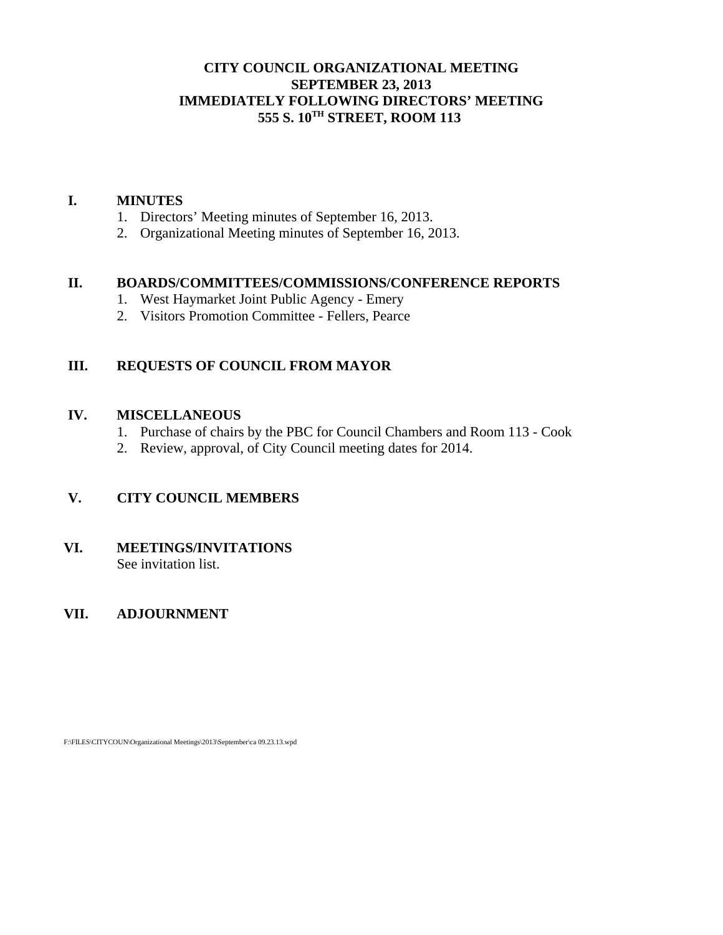# **CITY COUNCIL ORGANIZATIONAL MEETING SEPTEMBER 23, 2013 IMMEDIATELY FOLLOWING DIRECTORS' MEETING 555 S. 10TH STREET, ROOM 113**

#### **I. MINUTES**

- 1. Directors' Meeting minutes of September 16, 2013.
- 2. Organizational Meeting minutes of September 16, 2013.

#### **II. BOARDS/COMMITTEES/COMMISSIONS/CONFERENCE REPORTS**

- 1. West Haymarket Joint Public Agency Emery
- 2. Visitors Promotion Committee Fellers, Pearce

# **III. REQUESTS OF COUNCIL FROM MAYOR**

#### **IV. MISCELLANEOUS**

- 1. Purchase of chairs by the PBC for Council Chambers and Room 113 Cook
- 2. Review, approval, of City Council meeting dates for 2014.

# **V. CITY COUNCIL MEMBERS**

# **VI. MEETINGS/INVITATIONS**

See invitation list.

# **VII. ADJOURNMENT**

F:\FILES\CITYCOUN\Organizational Meetings\2013\September\ca 09.23.13.wpd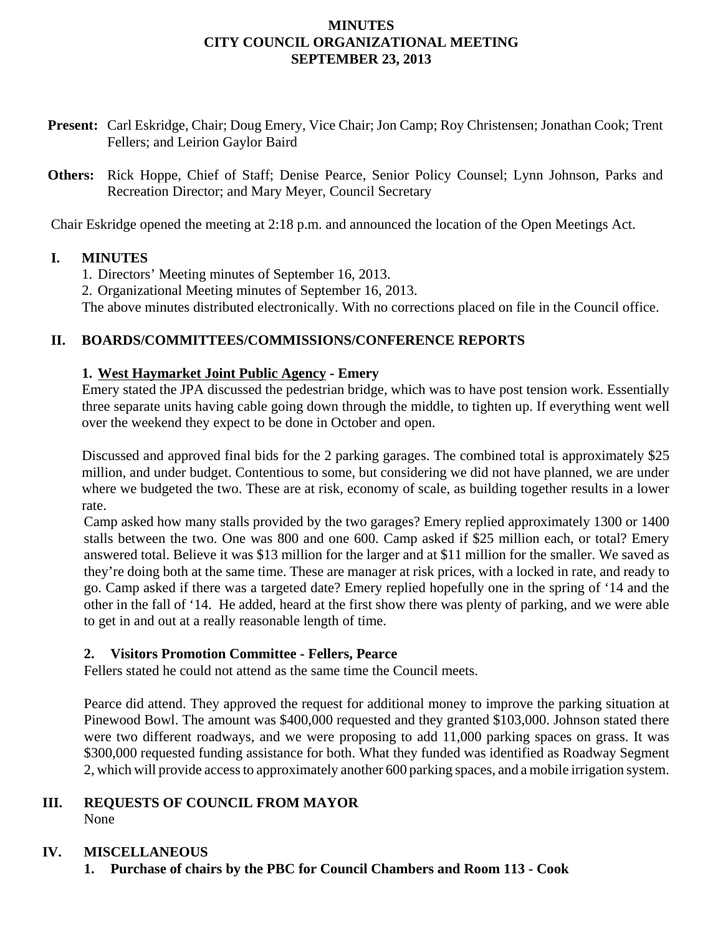# **MINUTES CITY COUNCIL ORGANIZATIONAL MEETING SEPTEMBER 23, 2013**

- **Present:** Carl Eskridge, Chair; Doug Emery, Vice Chair; Jon Camp; Roy Christensen; Jonathan Cook; Trent Fellers; and Leirion Gaylor Baird
- **Others:** Rick Hoppe, Chief of Staff; Denise Pearce, Senior Policy Counsel; Lynn Johnson, Parks and Recreation Director; and Mary Meyer, Council Secretary

Chair Eskridge opened the meeting at 2:18 p.m. and announced the location of the Open Meetings Act.

#### **I. MINUTES**

1. Directors' Meeting minutes of September 16, 2013.

2. Organizational Meeting minutes of September 16, 2013.

The above minutes distributed electronically. With no corrections placed on file in the Council office.

# **II. BOARDS/COMMITTEES/COMMISSIONS/CONFERENCE REPORTS**

# **1. West Haymarket Joint Public Agency - Emery**

Emery stated the JPA discussed the pedestrian bridge, which was to have post tension work. Essentially three separate units having cable going down through the middle, to tighten up. If everything went well over the weekend they expect to be done in October and open.

Discussed and approved final bids for the 2 parking garages. The combined total is approximately \$25 million, and under budget. Contentious to some, but considering we did not have planned, we are under where we budgeted the two. These are at risk, economy of scale, as building together results in a lower rate.

Camp asked how many stalls provided by the two garages? Emery replied approximately 1300 or 1400 stalls between the two. One was 800 and one 600. Camp asked if \$25 million each, or total? Emery answered total. Believe it was \$13 million for the larger and at \$11 million for the smaller. We saved as they're doing both at the same time. These are manager at risk prices, with a locked in rate, and ready to go. Camp asked if there was a targeted date? Emery replied hopefully one in the spring of '14 and the other in the fall of '14. He added, heard at the first show there was plenty of parking, and we were able to get in and out at a really reasonable length of time.

# **2. Visitors Promotion Committee - Fellers, Pearce**

Fellers stated he could not attend as the same time the Council meets.

Pearce did attend. They approved the request for additional money to improve the parking situation at Pinewood Bowl. The amount was \$400,000 requested and they granted \$103,000. Johnson stated there were two different roadways, and we were proposing to add 11,000 parking spaces on grass. It was \$300,000 requested funding assistance for both. What they funded was identified as Roadway Segment 2, which will provide access to approximately another 600 parking spaces, and a mobile irrigation system.

# **III. REQUESTS OF COUNCIL FROM MAYOR**

None

# **IV. MISCELLANEOUS**

**1. Purchase of chairs by the PBC for Council Chambers and Room 113 - Cook**